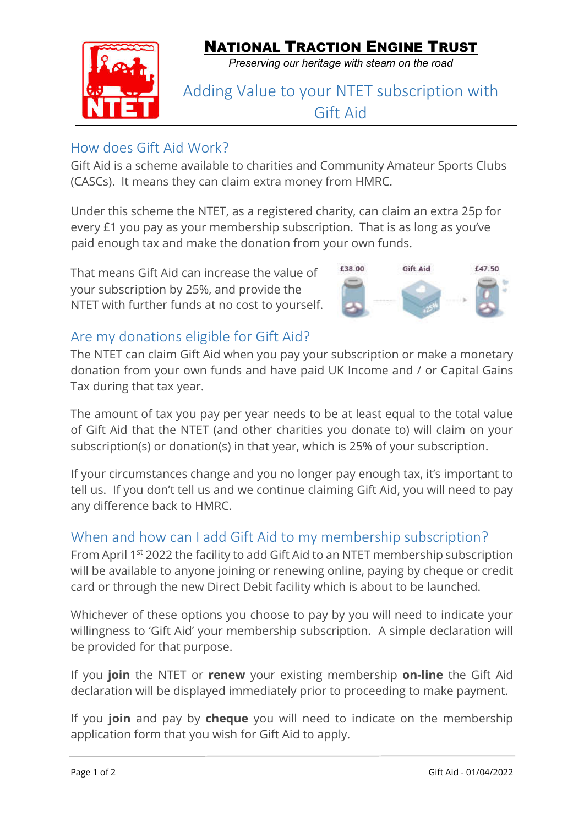

*Preserving our heritage with steam on the road*

## Adding Value to your NTET subscription with Gift Aid

## How does Gift Aid Work?

Gift Aid is a scheme available to charities and Community Amateur Sports Clubs (CASCs). It means they can claim extra money from HMRC.

Under this scheme the NTET, as a registered charity, can claim an extra 25p for every £1 you pay as your membership subscription. That is as long as you've paid enough tax and make the donation from your own funds.

That means Gift Aid can increase the value of your subscription by 25%, and provide the NTET with further funds at no cost to yourself.



## Are my donations eligible for Gift Aid?

The NTET can claim Gift Aid when you pay your subscription or make a monetary donation from your own funds and have paid UK Income and / or Capital Gains Tax during that tax year.

The amount of tax you pay per year needs to be at least equal to the total value of Gift Aid that the NTET (and other charities you donate to) will claim on your subscription(s) or donation(s) in that year, which is 25% of your subscription.

If your circumstances change and you no longer pay enough tax, it's important to tell us. If you don't tell us and we continue claiming Gift Aid, you will need to pay any difference back to HMRC.

## When and how can I add Gift Aid to my membership subscription?

From April 1st 2022 the facility to add Gift Aid to an NTET membership subscription will be available to anyone joining or renewing online, paying by cheque or credit card or through the new Direct Debit facility which is about to be launched.

Whichever of these options you choose to pay by you will need to indicate your willingness to 'Gift Aid' your membership subscription. A simple declaration will be provided for that purpose.

If you **join** the NTET or **renew** your existing membership **on-line** the Gift Aid declaration will be displayed immediately prior to proceeding to make payment.

If you **join** and pay by **cheque** you will need to indicate on the membership application form that you wish for Gift Aid to apply.